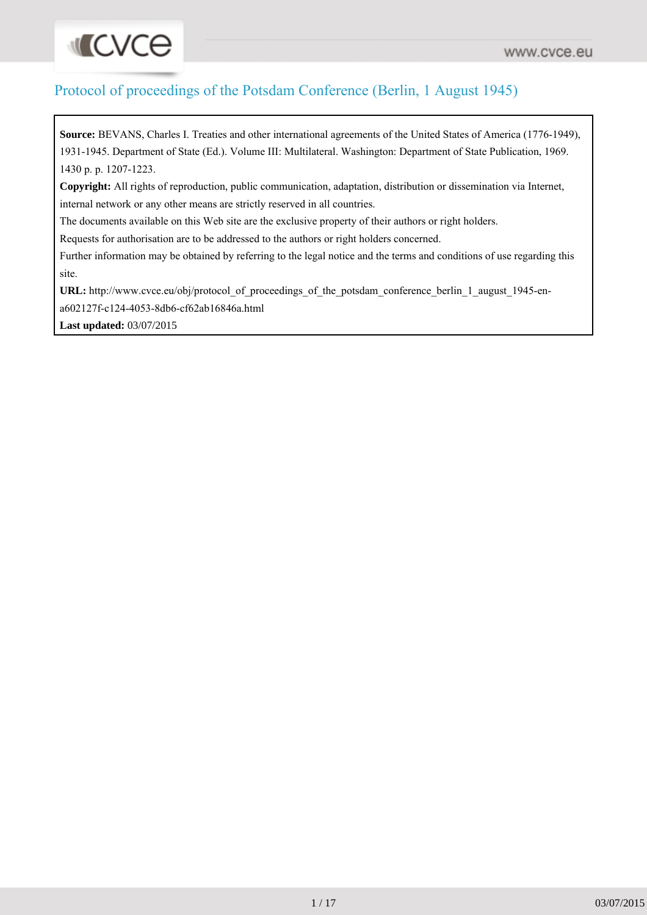### Protocol of proceedings of the Potsdam Conference (Berlin, 1 August 1945)

**Source:** BEVANS, Charles I. Treaties and other international agreements of the United States of America (1776-1949), 1931-1945. Department of State (Ed.). Volume III: Multilateral. Washington: Department of State Publication, 1969. 1430 p. p. 1207-1223.

**Copyright:** All rights of reproduction, public communication, adaptation, distribution or dissemination via Internet, internal network or any other means are strictly reserved in all countries.

The documents available on this Web site are the exclusive property of their authors or right holders.

Requests for authorisation are to be addressed to the authors or right holders concerned.

Further information may be obtained by referring to the legal notice and the terms and conditions of use regarding this site.

URL: [http://www.cvce.eu/obj/protocol\\_of\\_proceedings\\_of\\_the\\_potsdam\\_conference\\_berlin\\_1\\_august\\_1945-en-](http://www.cvce.eu/obj/protocol_of_proceedings_of_the_potsdam_conference_berlin_1_august_1945-en-a602127f-c124-4053-8db6-cf62ab16846a.html)

[a602127f-c124-4053-8db6-cf62ab16846a.html](http://www.cvce.eu/obj/protocol_of_proceedings_of_the_potsdam_conference_berlin_1_august_1945-en-a602127f-c124-4053-8db6-cf62ab16846a.html)

**Last updated:** 03/07/2015

**INCACE**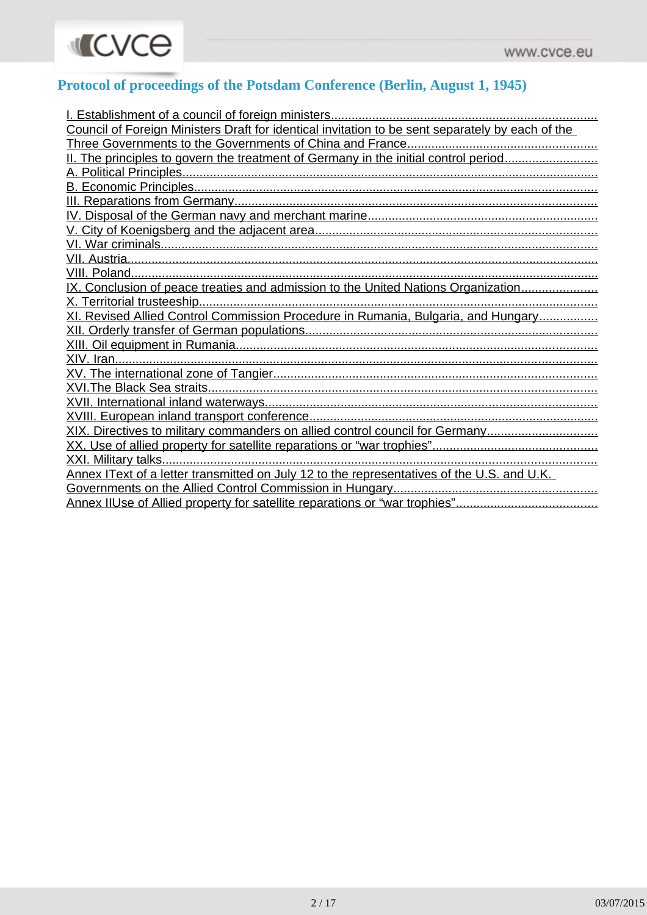# **ILCVCe**

### **Protocol of proceedings of the Potsdam Conference (Berlin, August 1, 1945)**

| Council of Foreign Ministers Draft for identical invitation to be sent separately by each of the |
|--------------------------------------------------------------------------------------------------|
|                                                                                                  |
| II. The principles to govern the treatment of Germany in the initial control period              |
|                                                                                                  |
|                                                                                                  |
|                                                                                                  |
|                                                                                                  |
|                                                                                                  |
|                                                                                                  |
|                                                                                                  |
|                                                                                                  |
| IX. Conclusion of peace treaties and admission to the United Nations Organization                |
|                                                                                                  |
| XI. Revised Allied Control Commission Procedure in Rumania, Bulgaria, and Hungary                |
|                                                                                                  |
|                                                                                                  |
|                                                                                                  |
|                                                                                                  |
|                                                                                                  |
|                                                                                                  |
|                                                                                                  |
| XIX. Directives to military commanders on allied control council for Germany                     |
|                                                                                                  |
|                                                                                                  |
| Annex IText of a letter transmitted on July 12 to the representatives of the U.S. and U.K.       |
|                                                                                                  |
|                                                                                                  |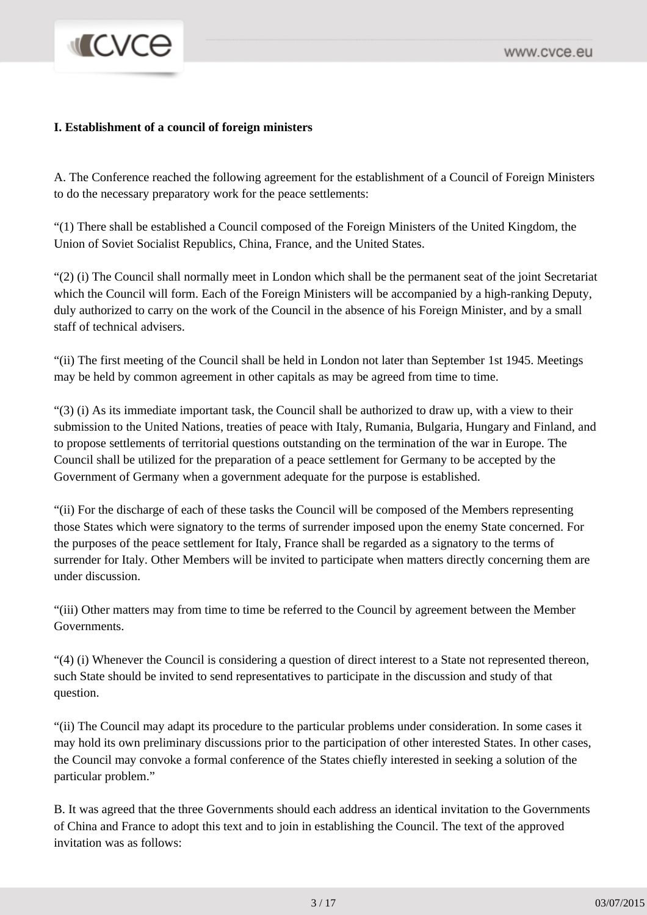#### **I. Establishment of a council of foreign ministers**

**MICVCO** 

A. The Conference reached the following agreement for the establishment of a Council of Foreign Ministers to do the necessary preparatory work for the peace settlements:

"(1) There shall be established a Council composed of the Foreign Ministers of the United Kingdom, the Union of Soviet Socialist Republics, China, France, and the United States.

"(2) (i) The Council shall normally meet in London which shall be the permanent seat of the joint Secretariat which the Council will form. Each of the Foreign Ministers will be accompanied by a high-ranking Deputy, duly authorized to carry on the work of the Council in the absence of his Foreign Minister, and by a small staff of technical advisers.

"(ii) The first meeting of the Council shall be held in London not later than September 1st 1945. Meetings may be held by common agreement in other capitals as may be agreed from time to time.

"(3) (i) As its immediate important task, the Council shall be authorized to draw up, with a view to their submission to the United Nations, treaties of peace with Italy, Rumania, Bulgaria, Hungary and Finland, and to propose settlements of territorial questions outstanding on the termination of the war in Europe. The Council shall be utilized for the preparation of a peace settlement for Germany to be accepted by the Government of Germany when a government adequate for the purpose is established.

"(ii) For the discharge of each of these tasks the Council will be composed of the Members representing those States which were signatory to the terms of surrender imposed upon the enemy State concerned. For the purposes of the peace settlement for Italy, France shall be regarded as a signatory to the terms of surrender for Italy. Other Members will be invited to participate when matters directly concerning them are under discussion.

"(iii) Other matters may from time to time be referred to the Council by agreement between the Member Governments.

"(4) (i) Whenever the Council is considering a question of direct interest to a State not represented thereon, such State should be invited to send representatives to participate in the discussion and study of that question.

"(ii) The Council may adapt its procedure to the particular problems under consideration. In some cases it may hold its own preliminary discussions prior to the participation of other interested States. In other cases, the Council may convoke a formal conference of the States chiefly interested in seeking a solution of the particular problem."

B. It was agreed that the three Governments should each address an identical invitation to the Governments of China and France to adopt this text and to join in establishing the Council. The text of the approved invitation was as follows: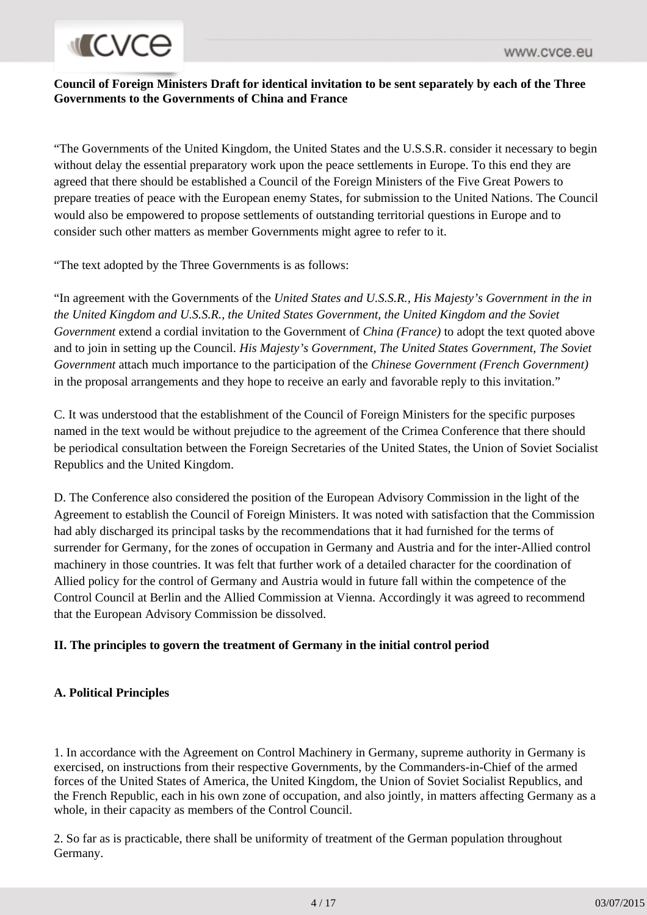### **Council of Foreign Ministers Draft for identical invitation to be sent separately by each of the Three Governments to the Governments of China and France**

"The Governments of the United Kingdom, the United States and the U.S.S.R. consider it necessary to begin without delay the essential preparatory work upon the peace settlements in Europe. To this end they are agreed that there should be established a Council of the Foreign Ministers of the Five Great Powers to prepare treaties of peace with the European enemy States, for submission to the United Nations. The Council would also be empowered to propose settlements of outstanding territorial questions in Europe and to consider such other matters as member Governments might agree to refer to it.

"The text adopted by the Three Governments is as follows:

"In agreement with the Governments of the *United States and U.S.S.R., His Majesty's Government in the in the United Kingdom and U.S.S.R., the United States Government, the United Kingdom and the Soviet Government* extend a cordial invitation to the Government of *China (France)* to adopt the text quoted above and to join in setting up the Council. *His Majesty's Government, The United States Government, The Soviet Government* attach much importance to the participation of the *Chinese Government (French Government)* in the proposal arrangements and they hope to receive an early and favorable reply to this invitation."

C. It was understood that the establishment of the Council of Foreign Ministers for the specific purposes named in the text would be without prejudice to the agreement of the Crimea Conference that there should be periodical consultation between the Foreign Secretaries of the United States, the Union of Soviet Socialist Republics and the United Kingdom.

D. The Conference also considered the position of the European Advisory Commission in the light of the Agreement to establish the Council of Foreign Ministers. It was noted with satisfaction that the Commission had ably discharged its principal tasks by the recommendations that it had furnished for the terms of surrender for Germany, for the zones of occupation in Germany and Austria and for the inter-Allied control machinery in those countries. It was felt that further work of a detailed character for the coordination of Allied policy for the control of Germany and Austria would in future fall within the competence of the Control Council at Berlin and the Allied Commission at Vienna. Accordingly it was agreed to recommend that the European Advisory Commission be dissolved.

### **II. The principles to govern the treatment of Germany in the initial control period**

### **A. Political Principles**

1. In accordance with the Agreement on Control Machinery in Germany, supreme authority in Germany is exercised, on instructions from their respective Governments, by the Commanders-in-Chief of the armed forces of the United States of America, the United Kingdom, the Union of Soviet Socialist Republics, and the French Republic, each in his own zone of occupation, and also jointly, in matters affecting Germany as a whole, in their capacity as members of the Control Council.

2. So far as is practicable, there shall be uniformity of treatment of the German population throughout Germany.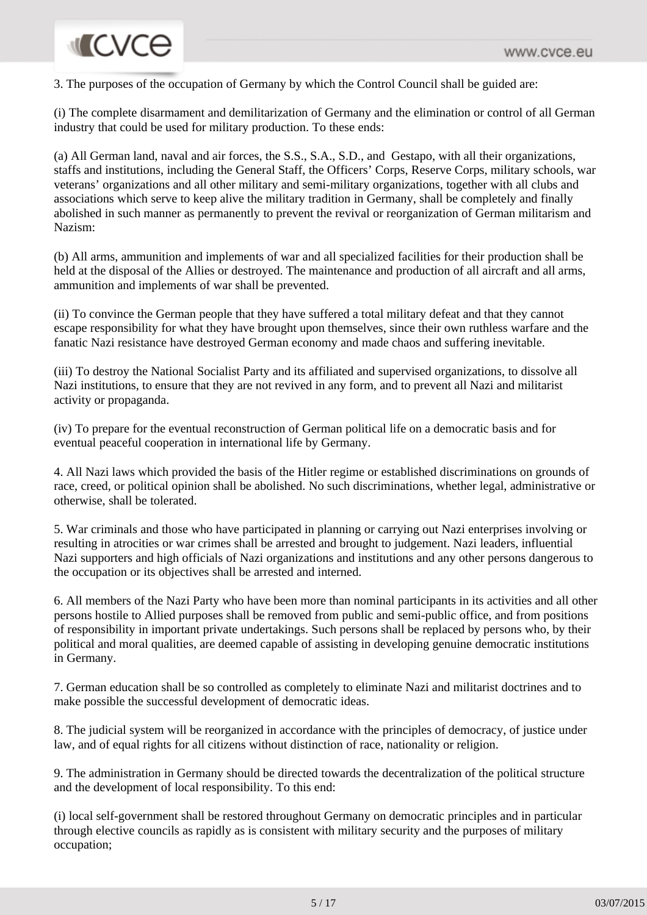### **ILCVCe**

3. The purposes of the occupation of Germany by which the Control Council shall be guided are:

(i) The complete disarmament and demilitarization of Germany and the elimination or control of all German industry that could be used for military production. To these ends:

(a) All German land, naval and air forces, the S.S., S.A., S.D., and Gestapo, with all their organizations, staffs and institutions, including the General Staff, the Officers' Corps, Reserve Corps, military schools, war veterans' organizations and all other military and semi-military organizations, together with all clubs and associations which serve to keep alive the military tradition in Germany, shall be completely and finally abolished in such manner as permanently to prevent the revival or reorganization of German militarism and Nazism:

(b) All arms, ammunition and implements of war and all specialized facilities for their production shall be held at the disposal of the Allies or destroyed. The maintenance and production of all aircraft and all arms, ammunition and implements of war shall be prevented.

(ii) To convince the German people that they have suffered a total military defeat and that they cannot escape responsibility for what they have brought upon themselves, since their own ruthless warfare and the fanatic Nazi resistance have destroyed German economy and made chaos and suffering inevitable.

(iii) To destroy the National Socialist Party and its affiliated and supervised organizations, to dissolve all Nazi institutions, to ensure that they are not revived in any form, and to prevent all Nazi and militarist activity or propaganda.

(iv) To prepare for the eventual reconstruction of German political life on a democratic basis and for eventual peaceful cooperation in international life by Germany.

4. All Nazi laws which provided the basis of the Hitler regime or established discriminations on grounds of race, creed, or political opinion shall be abolished. No such discriminations, whether legal, administrative or otherwise, shall be tolerated.

5. War criminals and those who have participated in planning or carrying out Nazi enterprises involving or resulting in atrocities or war crimes shall be arrested and brought to judgement. Nazi leaders, influential Nazi supporters and high officials of Nazi organizations and institutions and any other persons dangerous to the occupation or its objectives shall be arrested and interned.

6. All members of the Nazi Party who have been more than nominal participants in its activities and all other persons hostile to Allied purposes shall be removed from public and semi-public office, and from positions of responsibility in important private undertakings. Such persons shall be replaced by persons who, by their political and moral qualities, are deemed capable of assisting in developing genuine democratic institutions in Germany.

7. German education shall be so controlled as completely to eliminate Nazi and militarist doctrines and to make possible the successful development of democratic ideas.

8. The judicial system will be reorganized in accordance with the principles of democracy, of justice under law, and of equal rights for all citizens without distinction of race, nationality or religion.

9. The administration in Germany should be directed towards the decentralization of the political structure and the development of local responsibility. To this end:

(i) local self-government shall be restored throughout Germany on democratic principles and in particular through elective councils as rapidly as is consistent with military security and the purposes of military occupation;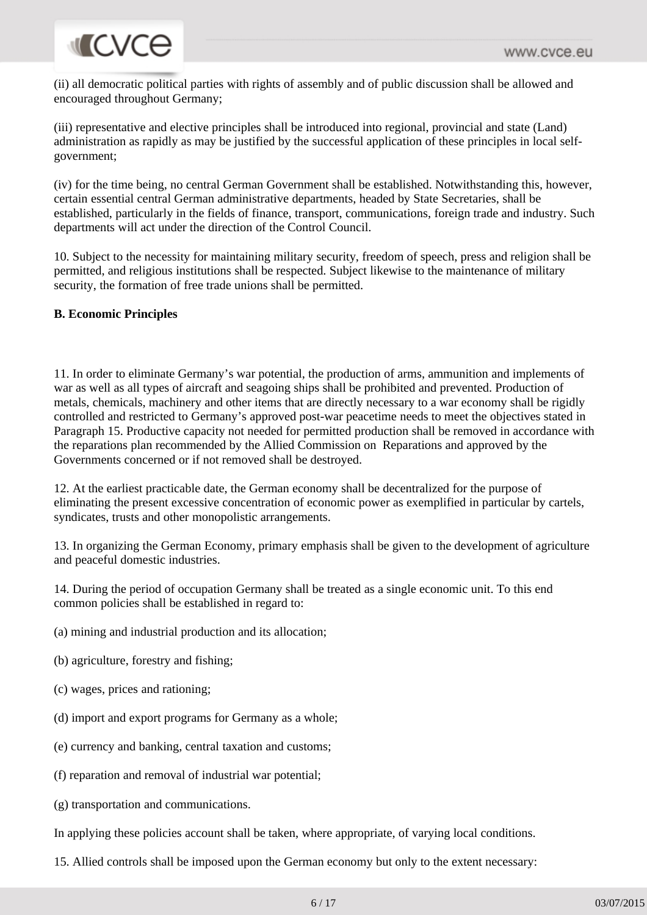### **ILCVCe**

(ii) all democratic political parties with rights of assembly and of public discussion shall be allowed and encouraged throughout Germany;

(iii) representative and elective principles shall be introduced into regional, provincial and state (Land) administration as rapidly as may be justified by the successful application of these principles in local selfgovernment;

(iv) for the time being, no central German Government shall be established. Notwithstanding this, however, certain essential central German administrative departments, headed by State Secretaries, shall be established, particularly in the fields of finance, transport, communications, foreign trade and industry. Such departments will act under the direction of the Control Council.

10. Subject to the necessity for maintaining military security, freedom of speech, press and religion shall be permitted, and religious institutions shall be respected. Subject likewise to the maintenance of military security, the formation of free trade unions shall be permitted.

#### **B. Economic Principles**

11. In order to eliminate Germany's war potential, the production of arms, ammunition and implements of war as well as all types of aircraft and seagoing ships shall be prohibited and prevented. Production of metals, chemicals, machinery and other items that are directly necessary to a war economy shall be rigidly controlled and restricted to Germany's approved post-war peacetime needs to meet the objectives stated in Paragraph 15. Productive capacity not needed for permitted production shall be removed in accordance with the reparations plan recommended by the Allied Commission on Reparations and approved by the Governments concerned or if not removed shall be destroyed.

12. At the earliest practicable date, the German economy shall be decentralized for the purpose of eliminating the present excessive concentration of economic power as exemplified in particular by cartels, syndicates, trusts and other monopolistic arrangements.

13. In organizing the German Economy, primary emphasis shall be given to the development of agriculture and peaceful domestic industries.

14. During the period of occupation Germany shall be treated as a single economic unit. To this end common policies shall be established in regard to:

- (a) mining and industrial production and its allocation;
- (b) agriculture, forestry and fishing;
- (c) wages, prices and rationing;
- (d) import and export programs for Germany as a whole;
- (e) currency and banking, central taxation and customs;
- (f) reparation and removal of industrial war potential;
- (g) transportation and communications.

In applying these policies account shall be taken, where appropriate, of varying local conditions.

15. Allied controls shall be imposed upon the German economy but only to the extent necessary: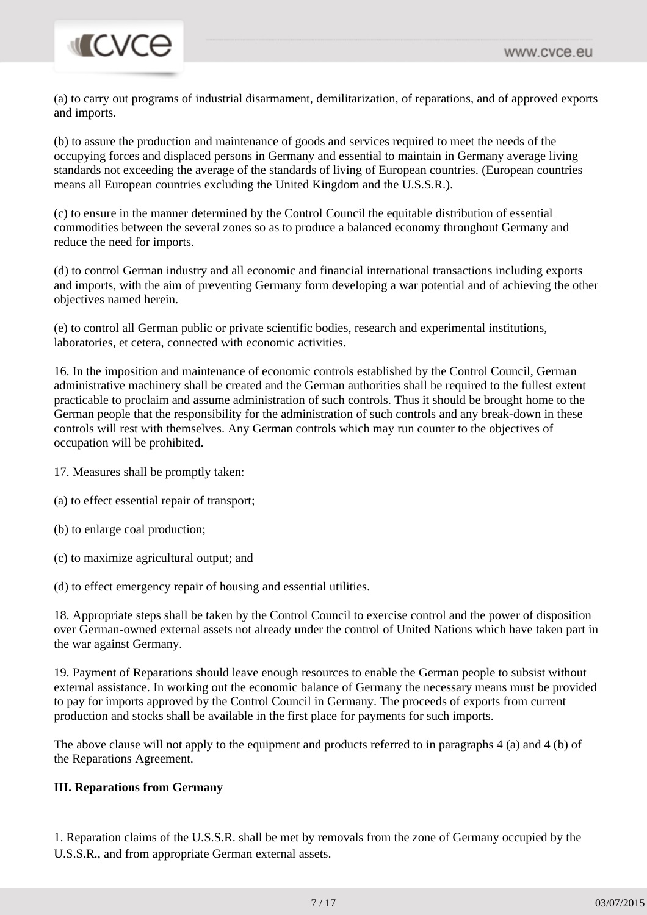## **MCVCe**

(a) to carry out programs of industrial disarmament, demilitarization, of reparations, and of approved exports and imports.

(b) to assure the production and maintenance of goods and services required to meet the needs of the occupying forces and displaced persons in Germany and essential to maintain in Germany average living standards not exceeding the average of the standards of living of European countries. (European countries means all European countries excluding the United Kingdom and the U.S.S.R.).

(c) to ensure in the manner determined by the Control Council the equitable distribution of essential commodities between the several zones so as to produce a balanced economy throughout Germany and reduce the need for imports.

(d) to control German industry and all economic and financial international transactions including exports and imports, with the aim of preventing Germany form developing a war potential and of achieving the other objectives named herein.

(e) to control all German public or private scientific bodies, research and experimental institutions, laboratories, et cetera, connected with economic activities.

16. In the imposition and maintenance of economic controls established by the Control Council, German administrative machinery shall be created and the German authorities shall be required to the fullest extent practicable to proclaim and assume administration of such controls. Thus it should be brought home to the German people that the responsibility for the administration of such controls and any break-down in these controls will rest with themselves. Any German controls which may run counter to the objectives of occupation will be prohibited.

- 17. Measures shall be promptly taken:
- (a) to effect essential repair of transport;
- (b) to enlarge coal production;
- (c) to maximize agricultural output; and

(d) to effect emergency repair of housing and essential utilities.

18. Appropriate steps shall be taken by the Control Council to exercise control and the power of disposition over German-owned external assets not already under the control of United Nations which have taken part in the war against Germany.

19. Payment of Reparations should leave enough resources to enable the German people to subsist without external assistance. In working out the economic balance of Germany the necessary means must be provided to pay for imports approved by the Control Council in Germany. The proceeds of exports from current production and stocks shall be available in the first place for payments for such imports.

The above clause will not apply to the equipment and products referred to in paragraphs 4 (a) and 4 (b) of the Reparations Agreement.

#### **III. Reparations from Germany**

1. Reparation claims of the U.S.S.R. shall be met by removals from the zone of Germany occupied by the U.S.S.R., and from appropriate German external assets.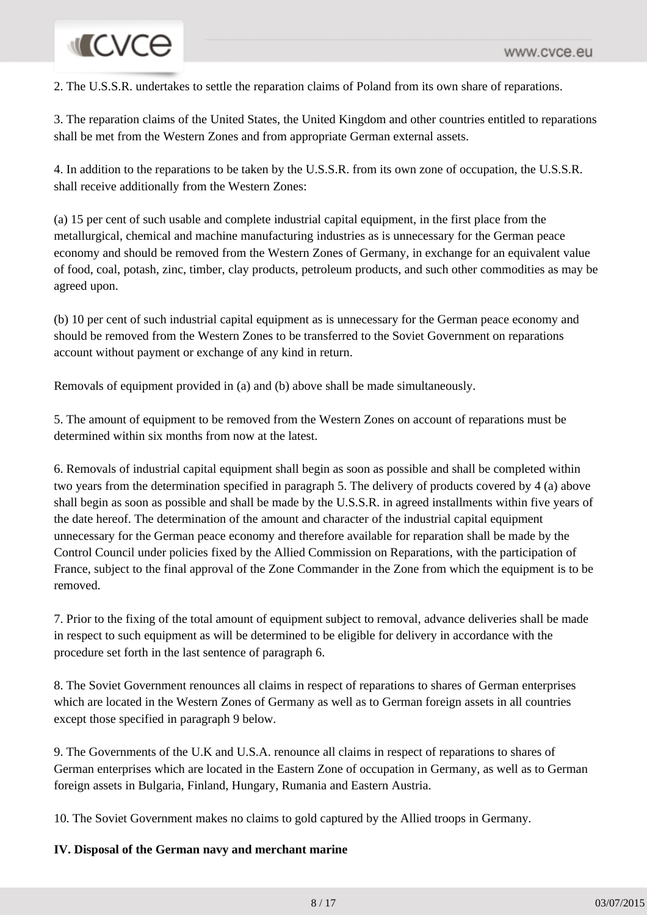# **MCVCe**

2. The U.S.S.R. undertakes to settle the reparation claims of Poland from its own share of reparations.

3. The reparation claims of the United States, the United Kingdom and other countries entitled to reparations shall be met from the Western Zones and from appropriate German external assets.

4. In addition to the reparations to be taken by the U.S.S.R. from its own zone of occupation, the U.S.S.R. shall receive additionally from the Western Zones:

(a) 15 per cent of such usable and complete industrial capital equipment, in the first place from the metallurgical, chemical and machine manufacturing industries as is unnecessary for the German peace economy and should be removed from the Western Zones of Germany, in exchange for an equivalent value of food, coal, potash, zinc, timber, clay products, petroleum products, and such other commodities as may be agreed upon.

(b) 10 per cent of such industrial capital equipment as is unnecessary for the German peace economy and should be removed from the Western Zones to be transferred to the Soviet Government on reparations account without payment or exchange of any kind in return.

Removals of equipment provided in (a) and (b) above shall be made simultaneously.

5. The amount of equipment to be removed from the Western Zones on account of reparations must be determined within six months from now at the latest.

6. Removals of industrial capital equipment shall begin as soon as possible and shall be completed within two years from the determination specified in paragraph 5. The delivery of products covered by 4 (a) above shall begin as soon as possible and shall be made by the U.S.S.R. in agreed installments within five years of the date hereof. The determination of the amount and character of the industrial capital equipment unnecessary for the German peace economy and therefore available for reparation shall be made by the Control Council under policies fixed by the Allied Commission on Reparations, with the participation of France, subject to the final approval of the Zone Commander in the Zone from which the equipment is to be removed.

7. Prior to the fixing of the total amount of equipment subject to removal, advance deliveries shall be made in respect to such equipment as will be determined to be eligible for delivery in accordance with the procedure set forth in the last sentence of paragraph 6.

8. The Soviet Government renounces all claims in respect of reparations to shares of German enterprises which are located in the Western Zones of Germany as well as to German foreign assets in all countries except those specified in paragraph 9 below.

9. The Governments of the U.K and U.S.A. renounce all claims in respect of reparations to shares of German enterprises which are located in the Eastern Zone of occupation in Germany, as well as to German foreign assets in Bulgaria, Finland, Hungary, Rumania and Eastern Austria.

10. The Soviet Government makes no claims to gold captured by the Allied troops in Germany.

#### **IV. Disposal of the German navy and merchant marine**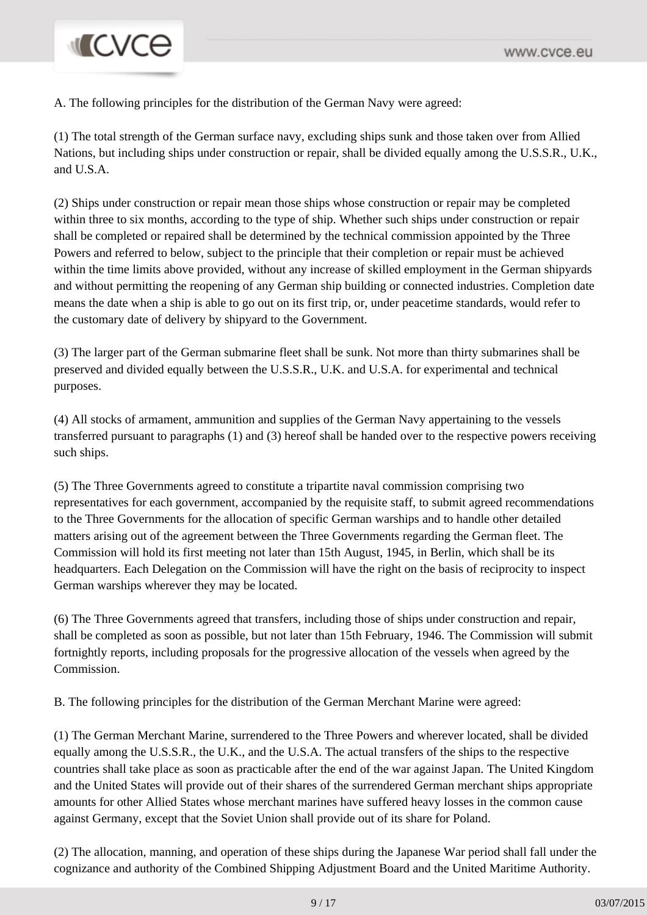A. The following principles for the distribution of the German Navy were agreed:

(1) The total strength of the German surface navy, excluding ships sunk and those taken over from Allied Nations, but including ships under construction or repair, shall be divided equally among the U.S.S.R., U.K., and U.S.A.

(2) Ships under construction or repair mean those ships whose construction or repair may be completed within three to six months, according to the type of ship. Whether such ships under construction or repair shall be completed or repaired shall be determined by the technical commission appointed by the Three Powers and referred to below, subject to the principle that their completion or repair must be achieved within the time limits above provided, without any increase of skilled employment in the German shipyards and without permitting the reopening of any German ship building or connected industries. Completion date means the date when a ship is able to go out on its first trip, or, under peacetime standards, would refer to the customary date of delivery by shipyard to the Government.

(3) The larger part of the German submarine fleet shall be sunk. Not more than thirty submarines shall be preserved and divided equally between the U.S.S.R., U.K. and U.S.A. for experimental and technical purposes.

(4) All stocks of armament, ammunition and supplies of the German Navy appertaining to the vessels transferred pursuant to paragraphs (1) and (3) hereof shall be handed over to the respective powers receiving such ships.

(5) The Three Governments agreed to constitute a tripartite naval commission comprising two representatives for each government, accompanied by the requisite staff, to submit agreed recommendations to the Three Governments for the allocation of specific German warships and to handle other detailed matters arising out of the agreement between the Three Governments regarding the German fleet. The Commission will hold its first meeting not later than 15th August, 1945, in Berlin, which shall be its headquarters. Each Delegation on the Commission will have the right on the basis of reciprocity to inspect German warships wherever they may be located.

(6) The Three Governments agreed that transfers, including those of ships under construction and repair, shall be completed as soon as possible, but not later than 15th February, 1946. The Commission will submit fortnightly reports, including proposals for the progressive allocation of the vessels when agreed by the Commission.

B. The following principles for the distribution of the German Merchant Marine were agreed:

(1) The German Merchant Marine, surrendered to the Three Powers and wherever located, shall be divided equally among the U.S.S.R., the U.K., and the U.S.A. The actual transfers of the ships to the respective countries shall take place as soon as practicable after the end of the war against Japan. The United Kingdom and the United States will provide out of their shares of the surrendered German merchant ships appropriate amounts for other Allied States whose merchant marines have suffered heavy losses in the common cause against Germany, except that the Soviet Union shall provide out of its share for Poland.

(2) The allocation, manning, and operation of these ships during the Japanese War period shall fall under the cognizance and authority of the Combined Shipping Adjustment Board and the United Maritime Authority.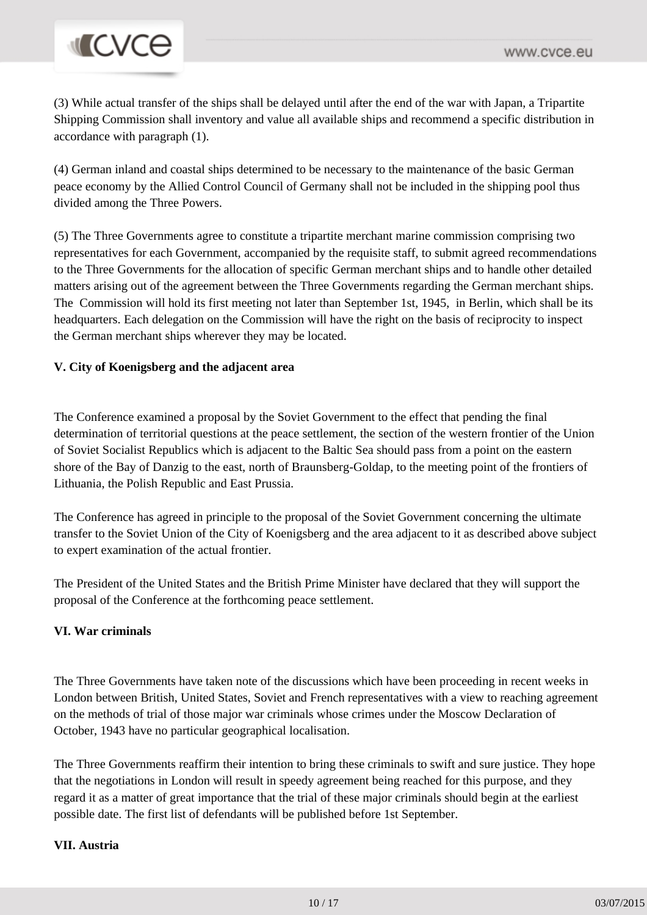(3) While actual transfer of the ships shall be delayed until after the end of the war with Japan, a Tripartite Shipping Commission shall inventory and value all available ships and recommend a specific distribution in accordance with paragraph (1).

(4) German inland and coastal ships determined to be necessary to the maintenance of the basic German peace economy by the Allied Control Council of Germany shall not be included in the shipping pool thus divided among the Three Powers.

(5) The Three Governments agree to constitute a tripartite merchant marine commission comprising two representatives for each Government, accompanied by the requisite staff, to submit agreed recommendations to the Three Governments for the allocation of specific German merchant ships and to handle other detailed matters arising out of the agreement between the Three Governments regarding the German merchant ships. The Commission will hold its first meeting not later than September 1st, 1945, in Berlin, which shall be its headquarters. Each delegation on the Commission will have the right on the basis of reciprocity to inspect the German merchant ships wherever they may be located.

### **V. City of Koenigsberg and the adjacent area**

The Conference examined a proposal by the Soviet Government to the effect that pending the final determination of territorial questions at the peace settlement, the section of the western frontier of the Union of Soviet Socialist Republics which is adjacent to the Baltic Sea should pass from a point on the eastern shore of the Bay of Danzig to the east, north of Braunsberg-Goldap, to the meeting point of the frontiers of Lithuania, the Polish Republic and East Prussia.

The Conference has agreed in principle to the proposal of the Soviet Government concerning the ultimate transfer to the Soviet Union of the City of Koenigsberg and the area adjacent to it as described above subject to expert examination of the actual frontier.

The President of the United States and the British Prime Minister have declared that they will support the proposal of the Conference at the forthcoming peace settlement.

#### **VI. War criminals**

The Three Governments have taken note of the discussions which have been proceeding in recent weeks in London between British, United States, Soviet and French representatives with a view to reaching agreement on the methods of trial of those major war criminals whose crimes under the Moscow Declaration of October, 1943 have no particular geographical localisation.

The Three Governments reaffirm their intention to bring these criminals to swift and sure justice. They hope that the negotiations in London will result in speedy agreement being reached for this purpose, and they regard it as a matter of great importance that the trial of these major criminals should begin at the earliest possible date. The first list of defendants will be published before 1st September.

#### **VII. Austria**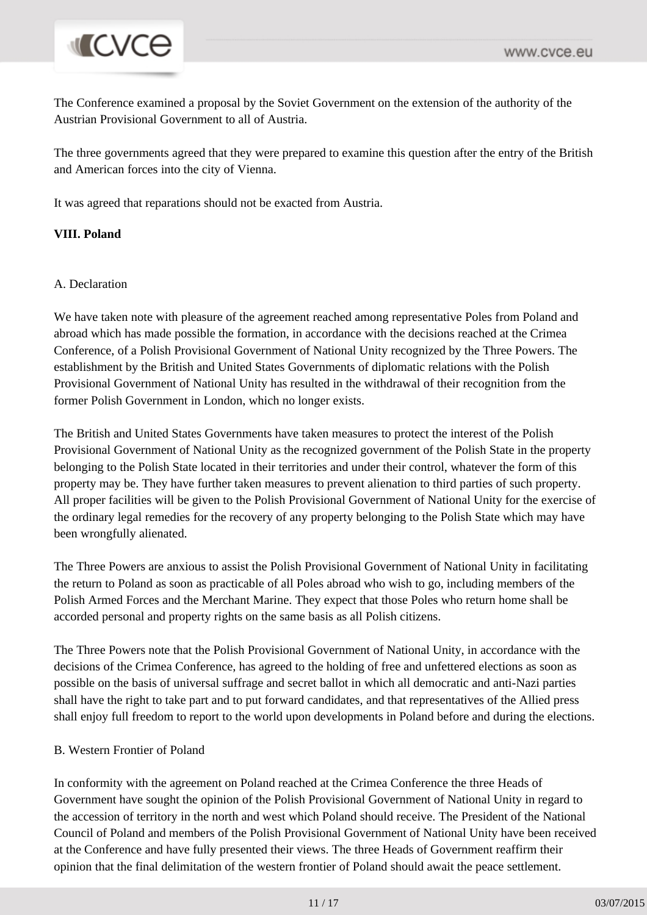The Conference examined a proposal by the Soviet Government on the extension of the authority of the Austrian Provisional Government to all of Austria.

The three governments agreed that they were prepared to examine this question after the entry of the British and American forces into the city of Vienna.

It was agreed that reparations should not be exacted from Austria.

#### **VIII. Poland**

#### A. Declaration

We have taken note with pleasure of the agreement reached among representative Poles from Poland and abroad which has made possible the formation, in accordance with the decisions reached at the Crimea Conference, of a Polish Provisional Government of National Unity recognized by the Three Powers. The establishment by the British and United States Governments of diplomatic relations with the Polish Provisional Government of National Unity has resulted in the withdrawal of their recognition from the former Polish Government in London, which no longer exists.

The British and United States Governments have taken measures to protect the interest of the Polish Provisional Government of National Unity as the recognized government of the Polish State in the property belonging to the Polish State located in their territories and under their control, whatever the form of this property may be. They have further taken measures to prevent alienation to third parties of such property. All proper facilities will be given to the Polish Provisional Government of National Unity for the exercise of the ordinary legal remedies for the recovery of any property belonging to the Polish State which may have been wrongfully alienated.

The Three Powers are anxious to assist the Polish Provisional Government of National Unity in facilitating the return to Poland as soon as practicable of all Poles abroad who wish to go, including members of the Polish Armed Forces and the Merchant Marine. They expect that those Poles who return home shall be accorded personal and property rights on the same basis as all Polish citizens.

The Three Powers note that the Polish Provisional Government of National Unity, in accordance with the decisions of the Crimea Conference, has agreed to the holding of free and unfettered elections as soon as possible on the basis of universal suffrage and secret ballot in which all democratic and anti-Nazi parties shall have the right to take part and to put forward candidates, and that representatives of the Allied press shall enjoy full freedom to report to the world upon developments in Poland before and during the elections.

#### B. Western Frontier of Poland

In conformity with the agreement on Poland reached at the Crimea Conference the three Heads of Government have sought the opinion of the Polish Provisional Government of National Unity in regard to the accession of territory in the north and west which Poland should receive. The President of the National Council of Poland and members of the Polish Provisional Government of National Unity have been received at the Conference and have fully presented their views. The three Heads of Government reaffirm their opinion that the final delimitation of the western frontier of Poland should await the peace settlement.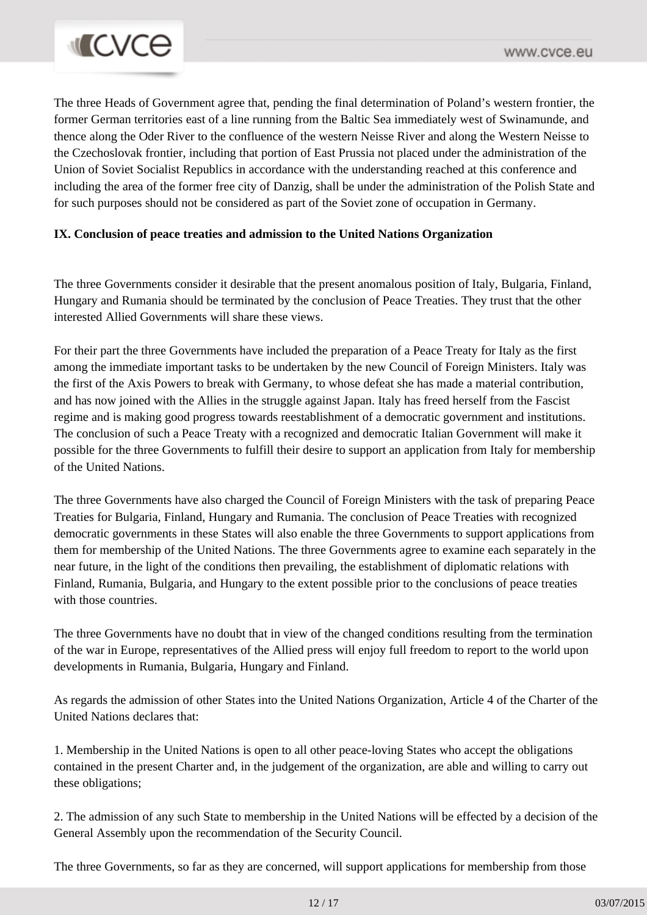

The three Heads of Government agree that, pending the final determination of Poland's western frontier, the former German territories east of a line running from the Baltic Sea immediately west of Swinamunde, and thence along the Oder River to the confluence of the western Neisse River and along the Western Neisse to the Czechoslovak frontier, including that portion of East Prussia not placed under the administration of the Union of Soviet Socialist Republics in accordance with the understanding reached at this conference and including the area of the former free city of Danzig, shall be under the administration of the Polish State and for such purposes should not be considered as part of the Soviet zone of occupation in Germany.

#### **IX. Conclusion of peace treaties and admission to the United Nations Organization**

The three Governments consider it desirable that the present anomalous position of Italy, Bulgaria, Finland, Hungary and Rumania should be terminated by the conclusion of Peace Treaties. They trust that the other interested Allied Governments will share these views.

For their part the three Governments have included the preparation of a Peace Treaty for Italy as the first among the immediate important tasks to be undertaken by the new Council of Foreign Ministers. Italy was the first of the Axis Powers to break with Germany, to whose defeat she has made a material contribution, and has now joined with the Allies in the struggle against Japan. Italy has freed herself from the Fascist regime and is making good progress towards reestablishment of a democratic government and institutions. The conclusion of such a Peace Treaty with a recognized and democratic Italian Government will make it possible for the three Governments to fulfill their desire to support an application from Italy for membership of the United Nations.

The three Governments have also charged the Council of Foreign Ministers with the task of preparing Peace Treaties for Bulgaria, Finland, Hungary and Rumania. The conclusion of Peace Treaties with recognized democratic governments in these States will also enable the three Governments to support applications from them for membership of the United Nations. The three Governments agree to examine each separately in the near future, in the light of the conditions then prevailing, the establishment of diplomatic relations with Finland, Rumania, Bulgaria, and Hungary to the extent possible prior to the conclusions of peace treaties with those countries.

The three Governments have no doubt that in view of the changed conditions resulting from the termination of the war in Europe, representatives of the Allied press will enjoy full freedom to report to the world upon developments in Rumania, Bulgaria, Hungary and Finland.

As regards the admission of other States into the United Nations Organization, Article 4 of the Charter of the United Nations declares that:

1. Membership in the United Nations is open to all other peace-loving States who accept the obligations contained in the present Charter and, in the judgement of the organization, are able and willing to carry out these obligations;

2. The admission of any such State to membership in the United Nations will be effected by a decision of the General Assembly upon the recommendation of the Security Council.

The three Governments, so far as they are concerned, will support applications for membership from those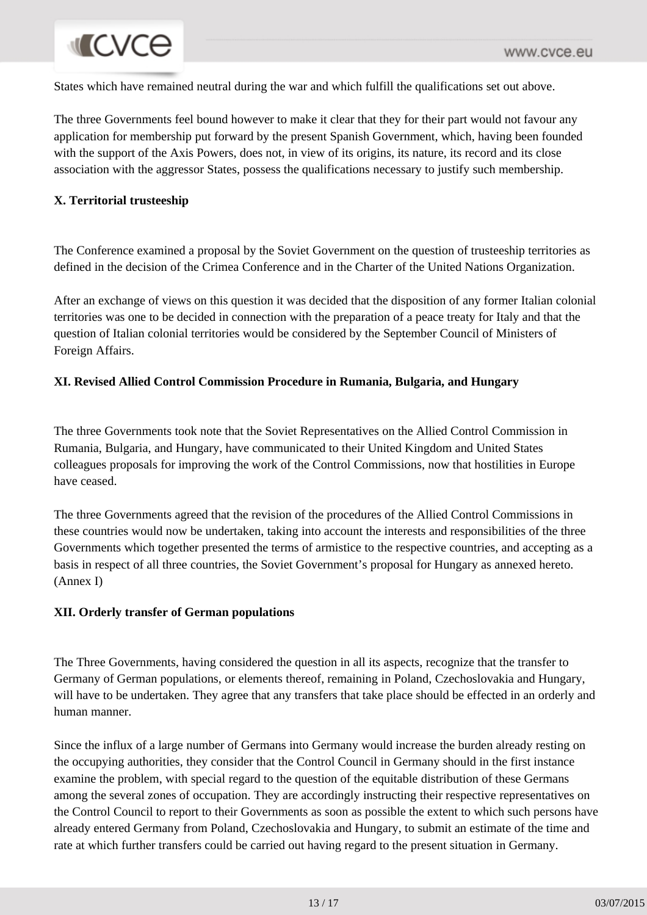# **INCVCe**

States which have remained neutral during the war and which fulfill the qualifications set out above.

The three Governments feel bound however to make it clear that they for their part would not favour any application for membership put forward by the present Spanish Government, which, having been founded with the support of the Axis Powers, does not, in view of its origins, its nature, its record and its close association with the aggressor States, possess the qualifications necessary to justify such membership.

#### **X. Territorial trusteeship**

The Conference examined a proposal by the Soviet Government on the question of trusteeship territories as defined in the decision of the Crimea Conference and in the Charter of the United Nations Organization.

After an exchange of views on this question it was decided that the disposition of any former Italian colonial territories was one to be decided in connection with the preparation of a peace treaty for Italy and that the question of Italian colonial territories would be considered by the September Council of Ministers of Foreign Affairs.

#### **XI. Revised Allied Control Commission Procedure in Rumania, Bulgaria, and Hungary**

The three Governments took note that the Soviet Representatives on the Allied Control Commission in Rumania, Bulgaria, and Hungary, have communicated to their United Kingdom and United States colleagues proposals for improving the work of the Control Commissions, now that hostilities in Europe have ceased.

The three Governments agreed that the revision of the procedures of the Allied Control Commissions in these countries would now be undertaken, taking into account the interests and responsibilities of the three Governments which together presented the terms of armistice to the respective countries, and accepting as a basis in respect of all three countries, the Soviet Government's proposal for Hungary as annexed hereto. (Annex I)

#### **XII. Orderly transfer of German populations**

The Three Governments, having considered the question in all its aspects, recognize that the transfer to Germany of German populations, or elements thereof, remaining in Poland, Czechoslovakia and Hungary, will have to be undertaken. They agree that any transfers that take place should be effected in an orderly and human manner.

Since the influx of a large number of Germans into Germany would increase the burden already resting on the occupying authorities, they consider that the Control Council in Germany should in the first instance examine the problem, with special regard to the question of the equitable distribution of these Germans among the several zones of occupation. They are accordingly instructing their respective representatives on the Control Council to report to their Governments as soon as possible the extent to which such persons have already entered Germany from Poland, Czechoslovakia and Hungary, to submit an estimate of the time and rate at which further transfers could be carried out having regard to the present situation in Germany.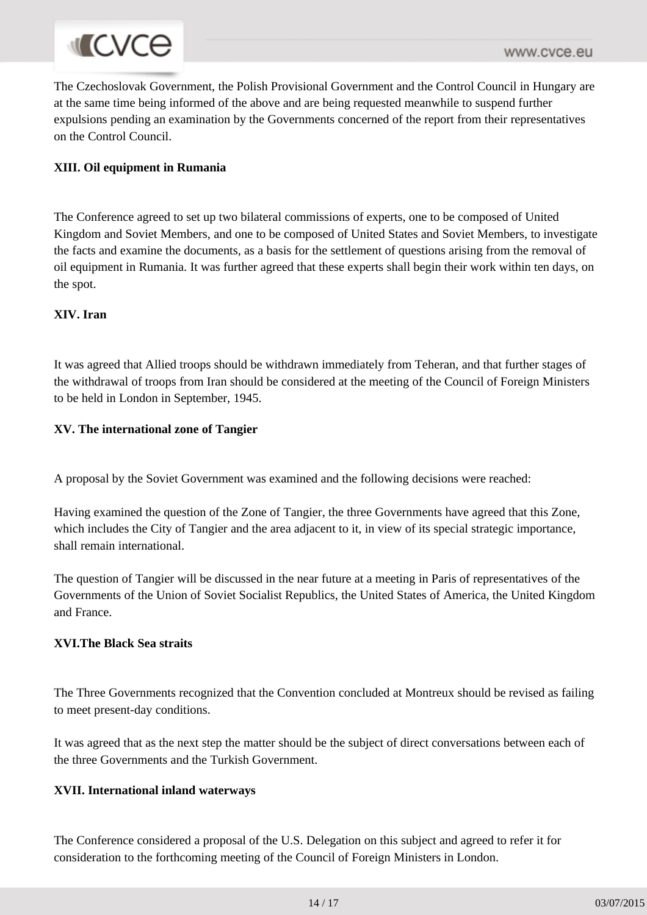The Czechoslovak Government, the Polish Provisional Government and the Control Council in Hungary are at the same time being informed of the above and are being requested meanwhile to suspend further expulsions pending an examination by the Governments concerned of the report from their representatives on the Control Council.

#### **XIII. Oil equipment in Rumania**

The Conference agreed to set up two bilateral commissions of experts, one to be composed of United Kingdom and Soviet Members, and one to be composed of United States and Soviet Members, to investigate the facts and examine the documents, as a basis for the settlement of questions arising from the removal of oil equipment in Rumania. It was further agreed that these experts shall begin their work within ten days, on the spot.

#### **XIV. Iran**

It was agreed that Allied troops should be withdrawn immediately from Teheran, and that further stages of the withdrawal of troops from Iran should be considered at the meeting of the Council of Foreign Ministers to be held in London in September, 1945.

#### **XV. The international zone of Tangier**

A proposal by the Soviet Government was examined and the following decisions were reached:

Having examined the question of the Zone of Tangier, the three Governments have agreed that this Zone, which includes the City of Tangier and the area adjacent to it, in view of its special strategic importance, shall remain international.

The question of Tangier will be discussed in the near future at a meeting in Paris of representatives of the Governments of the Union of Soviet Socialist Republics, the United States of America, the United Kingdom and France.

#### **XVI.The Black Sea straits**

The Three Governments recognized that the Convention concluded at Montreux should be revised as failing to meet present-day conditions.

It was agreed that as the next step the matter should be the subject of direct conversations between each of the three Governments and the Turkish Government.

#### **XVII. International inland waterways**

The Conference considered a proposal of the U.S. Delegation on this subject and agreed to refer it for consideration to the forthcoming meeting of the Council of Foreign Ministers in London.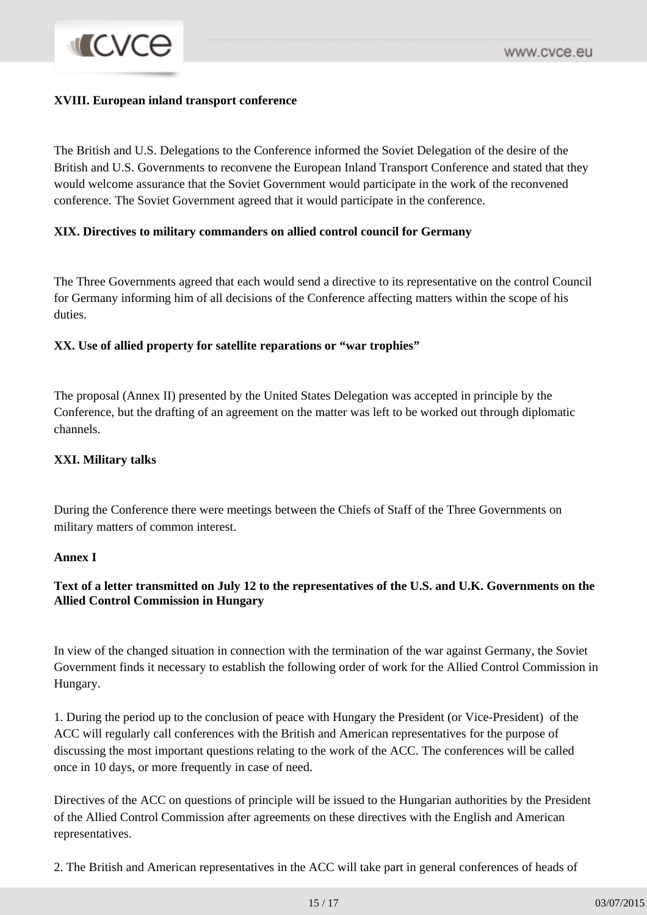#### **XVIII. European inland transport conference**

**MICVCE** 

The British and U.S. Delegations to the Conference informed the Soviet Delegation of the desire of the British and U.S. Governments to reconvene the European Inland Transport Conference and stated that they would welcome assurance that the Soviet Government would participate in the work of the reconvened conference. The Soviet Government agreed that it would participate in the conference.

#### **XIX. Directives to military commanders on allied control council for Germany**

The Three Governments agreed that each would send a directive to its representative on the control Council for Germany informing him of all decisions of the Conference affecting matters within the scope of his duties.

#### **XX. Use of allied property for satellite reparations or "war trophies"**

The proposal (Annex II) presented by the United States Delegation was accepted in principle by the Conference, but the drafting of an agreement on the matter was left to be worked out through diplomatic channels.

#### **XXI. Military talks**

During the Conference there were meetings between the Chiefs of Staff of the Three Governments on military matters of common interest.

#### **Annex I**

#### **Text of a letter transmitted on July 12 to the representatives of the U.S. and U.K. Governments on the Allied Control Commission in Hungary**

In view of the changed situation in connection with the termination of the war against Germany, the Soviet Government finds it necessary to establish the following order of work for the Allied Control Commission in Hungary.

1. During the period up to the conclusion of peace with Hungary the President (or Vice-President) of the ACC will regularly call conferences with the British and American representatives for the purpose of discussing the most important questions relating to the work of the ACC. The conferences will be called once in 10 days, or more frequently in case of need.

Directives of the ACC on questions of principle will be issued to the Hungarian authorities by the President of the Allied Control Commission after agreements on these directives with the English and American representatives.

2. The British and American representatives in the ACC will take part in general conferences of heads of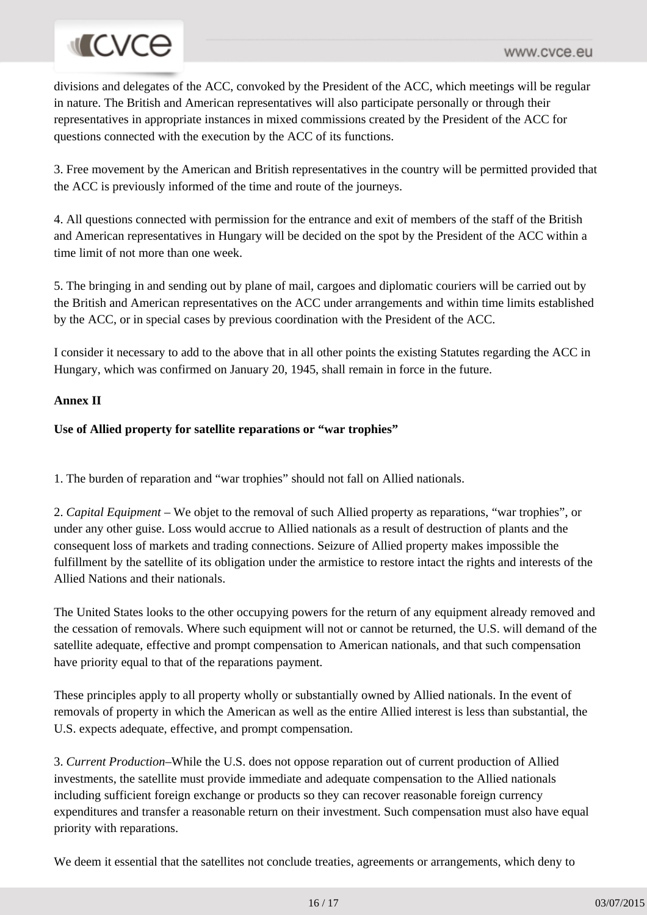# **MCVCe**

divisions and delegates of the ACC, convoked by the President of the ACC, which meetings will be regular in nature. The British and American representatives will also participate personally or through their representatives in appropriate instances in mixed commissions created by the President of the ACC for questions connected with the execution by the ACC of its functions.

3. Free movement by the American and British representatives in the country will be permitted provided that the ACC is previously informed of the time and route of the journeys.

4. All questions connected with permission for the entrance and exit of members of the staff of the British and American representatives in Hungary will be decided on the spot by the President of the ACC within a time limit of not more than one week.

5. The bringing in and sending out by plane of mail, cargoes and diplomatic couriers will be carried out by the British and American representatives on the ACC under arrangements and within time limits established by the ACC, or in special cases by previous coordination with the President of the ACC.

I consider it necessary to add to the above that in all other points the existing Statutes regarding the ACC in Hungary, which was confirmed on January 20, 1945, shall remain in force in the future.

#### **Annex II**

#### **Use of Allied property for satellite reparations or "war trophies"**

1. The burden of reparation and "war trophies" should not fall on Allied nationals.

2. *Capital Equipment* – We objet to the removal of such Allied property as reparations, "war trophies", or under any other guise. Loss would accrue to Allied nationals as a result of destruction of plants and the consequent loss of markets and trading connections. Seizure of Allied property makes impossible the fulfillment by the satellite of its obligation under the armistice to restore intact the rights and interests of the Allied Nations and their nationals.

The United States looks to the other occupying powers for the return of any equipment already removed and the cessation of removals. Where such equipment will not or cannot be returned, the U.S. will demand of the satellite adequate, effective and prompt compensation to American nationals, and that such compensation have priority equal to that of the reparations payment.

These principles apply to all property wholly or substantially owned by Allied nationals. In the event of removals of property in which the American as well as the entire Allied interest is less than substantial, the U.S. expects adequate, effective, and prompt compensation.

3. *Current Production*–While the U.S. does not oppose reparation out of current production of Allied investments, the satellite must provide immediate and adequate compensation to the Allied nationals including sufficient foreign exchange or products so they can recover reasonable foreign currency expenditures and transfer a reasonable return on their investment. Such compensation must also have equal priority with reparations.

We deem it essential that the satellites not conclude treaties, agreements or arrangements, which deny to